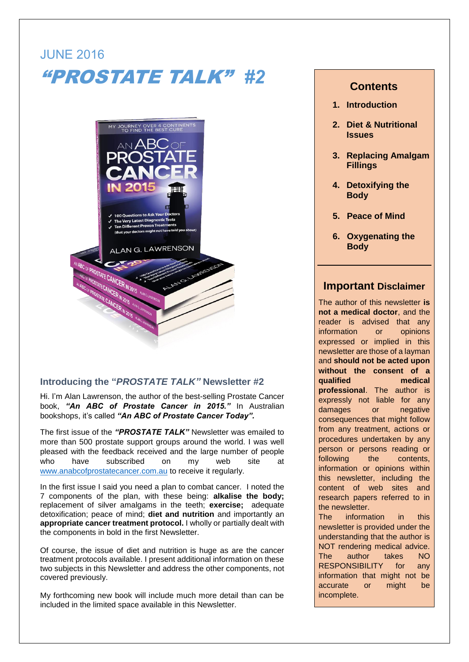# JUNE 2016 "PROSTATE TALK" *#2*



### **Introducing the "***PROSTATE TALK"* **Newsletter #2**

Hi. I'm Alan Lawrenson, the author of the best-selling Prostate Cancer book, *"An ABC of Prostate Cancer in 2015."* In Australian bookshops, it's called *"An ABC of Prostate Cancer Today".*

The first issue of the *"PROSTATE TALK"* Newsletter was emailed to more than 500 prostate support groups around the world. I was well pleased with the feedback received and the large number of people who have subscribed on my web site at [www.anabcofprostatecancer.com.au](http://www.anabcofprostatecancer.com.au/) to receive it regularly.

In the first issue I said you need a plan to combat cancer. I noted the 7 components of the plan, with these being: **alkalise the body;**  replacement of silver amalgams in the teeth; **exercise;** adequate detoxification; peace of mind; **diet and nutrition** and importantly an **appropriate cancer treatment protocol.** I wholly or partially dealt with the components in bold in the first Newsletter.

Of course, the issue of diet and nutrition is huge as are the cancer treatment protocols available. I present additional information on these two subjects in this Newsletter and address the other components, not covered previously.

My forthcoming new book will include much more detail than can be included in the limited space available in this Newsletter.

## **Contents**

- **1. Introduction**
- **2. Diet & Nutritional Issues**
- **3. Replacing Amalgam Fillings**
- **4. Detoxifying the Body**
- **5. Peace of Mind**
- **6. Oxygenating the Body**

# **Important Disclaimer**

The author of this newsletter **is not a medical doctor**, and the reader is advised that any information or opinions expressed or implied in this newsletter are those of a layman and **should not be acted upon without the consent of a qualified medical professional**. The author is expressly not liable for any damages or negative consequences that might follow from any treatment, actions or procedures undertaken by any person or persons reading or following the contents, information or opinions within this newsletter, including the content of web sites and research papers referred to in the newsletter.

The information in this newsletter is provided under the understanding that the author is NOT rendering medical advice. The author takes NO RESPONSIBILITY for any information that might not be accurate or might be incomplete.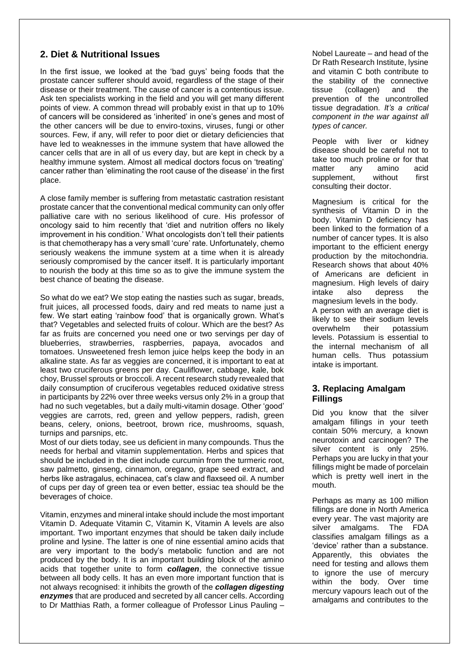#### **2. Diet & Nutritional Issues**

In the first issue, we looked at the 'bad guys' being foods that the prostate cancer sufferer should avoid, regardless of the stage of their disease or their treatment. The cause of cancer is a contentious issue. Ask ten specialists working in the field and you will get many different points of view. A common thread will probably exist in that up to 10% of cancers will be considered as 'inherited' in one's genes and most of the other cancers will be due to enviro-toxins, viruses, fungi or other sources. Few, if any, will refer to poor diet or dietary deficiencies that have led to weaknesses in the immune system that have allowed the cancer cells that are in all of us every day, but are kept in check by a healthy immune system. Almost all medical doctors focus on 'treating' cancer rather than 'eliminating the root cause of the disease' in the first place.

A close family member is suffering from metastatic castration resistant prostate cancer that the conventional medical community can only offer palliative care with no serious likelihood of cure. His professor of oncology said to him recently that 'diet and nutrition offers no likely improvement in his condition.' What oncologists don't tell their patients is that chemotherapy has a very small 'cure' rate. Unfortunately, chemo seriously weakens the immune system at a time when it is already seriously compromised by the cancer itself. It is particularly important to nourish the body at this time so as to give the immune system the best chance of beating the disease.

So what do we eat? We stop eating the nasties such as sugar, breads, fruit juices, all processed foods, dairy and red meats to name just a few. We start eating 'rainbow food' that is organically grown. What's that? Vegetables and selected fruits of colour. Which are the best? As far as fruits are concerned you need one or two servings per day of blueberries, strawberries, raspberries, papaya, avocados and tomatoes. Unsweetened fresh lemon juice helps keep the body in an alkaline state. As far as veggies are concerned, it is important to eat at least two cruciferous greens per day. Cauliflower, cabbage, kale, bok choy, Brussel sprouts or broccoli. A recent research study revealed that daily consumption of cruciferous vegetables reduced oxidative stress in participants by 22% over three weeks versus only 2% in a group that had no such vegetables, but a daily multi-vitamin dosage. Other 'good' veggies are carrots, red, green and yellow peppers, radish, green beans, celery, onions, beetroot, brown rice, mushrooms, squash, turnips and parsnips, etc.

Most of our diets today, see us deficient in many compounds. Thus the needs for herbal and vitamin supplementation. Herbs and spices that should be included in the diet include curcumin from the turmeric root, saw palmetto, ginseng, cinnamon, oregano, grape seed extract, and herbs like astragalus, echinacea, cat's claw and flaxseed oil. A number of cups per day of green tea or even better, essiac tea should be the beverages of choice.

Vitamin, enzymes and mineral intake should include the most important Vitamin D. Adequate Vitamin C, Vitamin K, Vitamin A levels are also important. Two important enzymes that should be taken daily include proline and lysine. The latter is one of nine essential amino acids that are very important to the body's metabolic function and are not produced by the body. It is an important building block of the amino acids that together unite to form *collagen*, the connective tissue between all body cells. It has an even more important function that is not always recognised: it inhibits the growth of the *collagen digesting enzymes* that are produced and secreted by all cancer cells. According to Dr Matthias Rath, a former colleague of Professor Linus Pauling –

Nobel Laureate – and head of the Dr Rath Research Institute, lysine and vitamin C both contribute to the stability of the connective tissue (collagen) and the prevention of the uncontrolled tissue degradation. *It's a critical component in the war against all types of cancer.*

People with liver or kidney disease should be careful not to take too much proline or for that matter any amino acid supplement, without first consulting their doctor.

Magnesium is critical for the synthesis of Vitamin D in the body. Vitamin D deficiency has been linked to the formation of a number of cancer types. It is also important to the efficient energy production by the mitochondria. Research shows that about 40% of Americans are deficient in magnesium. High levels of dairy intake also depress the magnesium levels in the body. A person with an average diet is likely to see their sodium levels overwhelm their potassium levels. Potassium is essential to the internal mechanism of all human cells. Thus potassium intake is important.

#### **3. Replacing Amalgam Fillings**

Did you know that the silver amalgam fillings in your teeth contain 50% mercury, a known neurotoxin and carcinogen? The silver content is only 25%. Perhaps you are lucky in that your fillings might be made of porcelain which is pretty well inert in the mouth.

Perhaps as many as 100 million fillings are done in North America every year. The vast majority are silver amalgams. The FDA classifies amalgam fillings as a 'device' rather than a substance. Apparently, this obviates the need for testing and allows them to ignore the use of mercury within the body. Over time mercury vapours leach out of the amalgams and contributes to the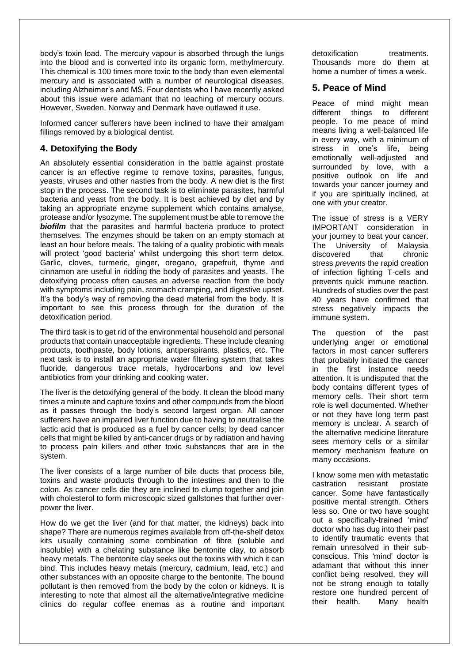body's toxin load. The mercury vapour is absorbed through the lungs into the blood and is converted into its organic form, methylmercury. This chemical is 100 times more toxic to the body than even elemental mercury and is associated with a number of neurological diseases, including Alzheimer's and MS. Four dentists who I have recently asked about this issue were adamant that no leaching of mercury occurs. However, Sweden, Norway and Denmark have outlawed it use.

Informed cancer sufferers have been inclined to have their amalgam fillings removed by a biological dentist.

#### **4. Detoxifying the Body**

An absolutely essential consideration in the battle against prostate cancer is an effective regime to remove toxins, parasites, fungus, yeasts, viruses and other nasties from the body. A new diet is the first stop in the process. The second task is to eliminate parasites, harmful bacteria and yeast from the body. It is best achieved by diet and by taking an appropriate enzyme supplement which contains amalyse, protease and/or lysozyme. The supplement must be able to remove the **biofilm** that the parasites and harmful bacteria produce to protect themselves. The enzymes should be taken on an empty stomach at least an hour before meals. The taking of a quality probiotic with meals will protect 'good bacteria' whilst undergoing this short term detox. Garlic, cloves, turmeric, ginger, oregano, grapefruit, thyme and cinnamon are useful in ridding the body of parasites and yeasts. The detoxifying process often causes an adverse reaction from the body with symptoms including pain, stomach cramping, and digestive upset. It's the body's way of removing the dead material from the body. It is important to see this process through for the duration of the detoxification period.

The third task is to get rid of the environmental household and personal products that contain unacceptable ingredients. These include cleaning products, toothpaste, body lotions, antiperspirants, plastics, etc. The next task is to install an appropriate water filtering system that takes fluoride, dangerous trace metals, hydrocarbons and low level antibiotics from your drinking and cooking water.

The liver is the detoxifying general of the body. It clean the blood many times a minute and capture toxins and other compounds from the blood as it passes through the body's second largest organ. All cancer sufferers have an impaired liver function due to having to neutralise the lactic acid that is produced as a fuel by cancer cells; by dead cancer cells that might be killed by anti-cancer drugs or by radiation and having to process pain killers and other toxic substances that are in the system.

The liver consists of a large number of bile ducts that process bile, toxins and waste products through to the intestines and then to the colon. As cancer cells die they are inclined to clump together and join with cholesterol to form microscopic sized gallstones that further overpower the liver.

How do we get the liver (and for that matter, the kidneys) back into shape? There are numerous regimes available from off-the-shelf detox kits usually containing some combination of fibre (soluble and insoluble) with a chelating substance like bentonite clay, to absorb heavy metals. The bentonite clay seeks out the toxins with which it can bind. This includes heavy metals (mercury, cadmium, lead, etc.) and other substances with an opposite charge to the bentonite. The bound pollutant is then removed from the body by the colon or kidneys. It is interesting to note that almost all the alternative/integrative medicine clinics do regular coffee enemas as a routine and important

detoxification treatments. Thousands more do them at home a number of times a week.

#### **5. Peace of Mind**

Peace of mind might mean different things to different people. To me peace of mind means living a well-balanced life in every way, with a minimum of stress in one's life, being emotionally well-adjusted and surrounded by love, with a positive outlook on life and towards your cancer journey and if you are spiritually inclined, at one with your creator.

The issue of stress is a VERY IMPORTANT consideration in your journey to beat your cancer. The University of Malaysia discovered that chronic stress *prevents* the rapid creation of infection fighting T-cells and prevents quick immune reaction. Hundreds of studies over the past 40 years have confirmed that stress negatively impacts the immune system.

The question of the past underlying anger or emotional factors in most cancer sufferers that probably initiated the cancer in the first instance needs attention. It is undisputed that the body contains different types of memory cells. Their short term role is well documented. Whether or not they have long term past memory is unclear. A search of the alternative medicine literature sees memory cells or a similar memory mechanism feature on many occasions.

I know some men with metastatic castration resistant prostate cancer. Some have fantastically positive mental strength. Others less so. One or two have sought out a specifically-trained 'mind' doctor who has dug into their past to identify traumatic events that remain unresolved in their subconscious. This 'mind' doctor is adamant that without this inner conflict being resolved, they will not be strong enough to totally restore one hundred percent of their health. Many health